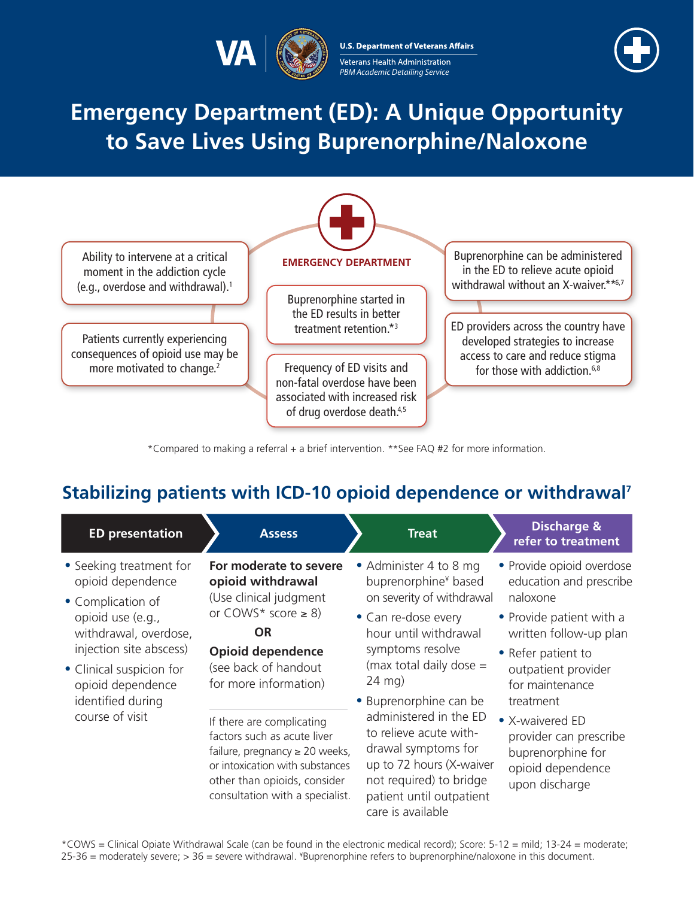

**U.S. Department of Veterans Affairs** Veterans Health Administration PBM Academic Detailing Service



# **Emergency Department (ED): A Unique Opportunity to Save Lives Using Buprenorphine/Naloxone**



<span id="page-0-2"></span>\*Compared to making a referral + a brief intervention. \*\*See FAQ #2 for more information.

### **Stabilizing patients with ICD-10 opioid dependence or withdrawal[7](#page-1-0)**

<span id="page-0-1"></span><span id="page-0-0"></span>

| <b>ED</b> presentation                                                                | <b>Assess</b>                                                                                                                                                                                         | <b>Treat</b>                                                                                                                                                                                                                                                                                                                  | <b>Discharge &amp;</b><br>refer to treatment                                                          |
|---------------------------------------------------------------------------------------|-------------------------------------------------------------------------------------------------------------------------------------------------------------------------------------------------------|-------------------------------------------------------------------------------------------------------------------------------------------------------------------------------------------------------------------------------------------------------------------------------------------------------------------------------|-------------------------------------------------------------------------------------------------------|
| • Seeking treatment for<br>opioid dependence<br>• Complication of                     | For moderate to severe<br>opioid withdrawal<br>(Use clinical judgment                                                                                                                                 | • Administer 4 to 8 mg<br>buprenorphine <sup>¥</sup> based<br>on severity of withdrawal                                                                                                                                                                                                                                       | • Provide opioid overdose<br>education and prescribe<br>naloxone                                      |
| opioid use (e.g.,<br>withdrawal, overdose,<br>injection site abscess)                 | or $COMS^*$ score $\geq 8$ )<br><b>OR</b><br><b>Opioid dependence</b><br>(see back of handout<br>for more information)                                                                                | • Can re-dose every<br>hour until withdrawal<br>symptoms resolve<br>(max total daily dose $=$<br>$24 \text{ mg}$<br>• Buprenorphine can be<br>administered in the ED<br>to relieve acute with-<br>drawal symptoms for<br>up to 72 hours (X-waiver<br>not required) to bridge<br>patient until outpatient<br>care is available | • Provide patient with a<br>written follow-up plan<br>• Refer patient to                              |
| • Clinical suspicion for<br>opioid dependence<br>identified during<br>course of visit |                                                                                                                                                                                                       |                                                                                                                                                                                                                                                                                                                               | outpatient provider<br>for maintenance<br>treatment                                                   |
|                                                                                       | If there are complicating<br>factors such as acute liver<br>failure, pregnancy $\geq 20$ weeks,<br>or intoxication with substances<br>other than opioids, consider<br>consultation with a specialist. |                                                                                                                                                                                                                                                                                                                               | • X-waivered ED<br>provider can prescribe<br>buprenorphine for<br>opioid dependence<br>upon discharge |